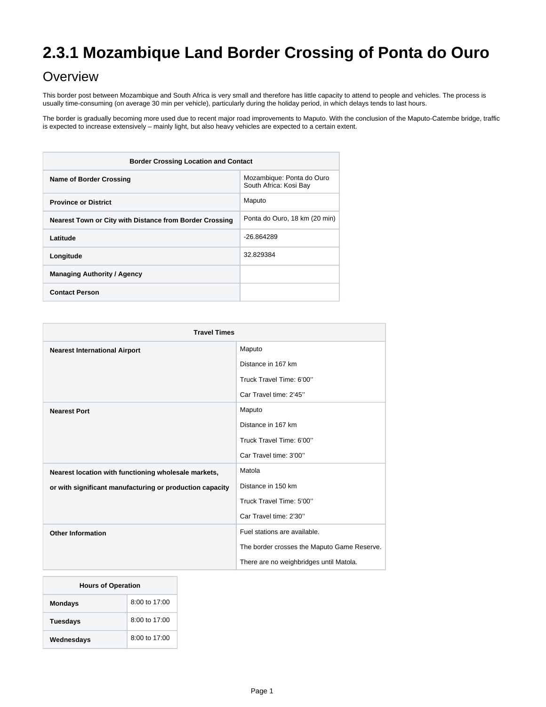# **2.3.1 Mozambique Land Border Crossing of Ponta do Ouro**

# **Overview**

This border post between Mozambique and South Africa is very small and therefore has little capacity to attend to people and vehicles. The process is usually time-consuming (on average 30 min per vehicle), particularly during the holiday period, in which delays tends to last hours.

The border is gradually becoming more used due to recent major road improvements to Maputo. With the conclusion of the Maputo-Catembe bridge, traffic is expected to increase extensively – mainly light, but also heavy vehicles are expected to a certain extent.

| <b>Border Crossing Location and Contact</b>             |                                                     |  |
|---------------------------------------------------------|-----------------------------------------------------|--|
| <b>Name of Border Crossing</b>                          | Mozambique: Ponta do Ouro<br>South Africa: Kosi Bay |  |
| <b>Province or District</b>                             | Maputo                                              |  |
| Nearest Town or City with Distance from Border Crossing | Ponta do Ouro, 18 km (20 min)                       |  |
| Latitude                                                | $-26.864289$                                        |  |
| Longitude                                               | 32.829384                                           |  |
| <b>Managing Authority / Agency</b>                      |                                                     |  |
| <b>Contact Person</b>                                   |                                                     |  |

| <b>Travel Times</b>                                      |                                             |  |
|----------------------------------------------------------|---------------------------------------------|--|
| <b>Nearest International Airport</b>                     | Maputo                                      |  |
|                                                          | Distance in 167 km                          |  |
|                                                          | Truck Travel Time: 6'00"                    |  |
|                                                          | Car Travel time: 2'45"                      |  |
| <b>Nearest Port</b>                                      | Maputo                                      |  |
|                                                          | Distance in 167 km                          |  |
|                                                          | Truck Travel Time: 6'00"                    |  |
|                                                          | Car Travel time: 3'00"                      |  |
| Nearest location with functioning wholesale markets,     | Matola                                      |  |
| or with significant manufacturing or production capacity | Distance in 150 km                          |  |
|                                                          | Truck Travel Time: 5'00"                    |  |
|                                                          | Car Travel time: 2'30"                      |  |
| <b>Other Information</b>                                 | Fuel stations are available.                |  |
|                                                          | The border crosses the Maputo Game Reserve. |  |
|                                                          | There are no weighbridges until Matola.     |  |

| <b>Hours of Operation</b> |                 |  |
|---------------------------|-----------------|--|
| <b>Mondays</b>            | 8:00 to 17:00   |  |
| Tuesdays                  | $8:00$ to 17:00 |  |
| Wednesdays                | 8:00 to 17:00   |  |